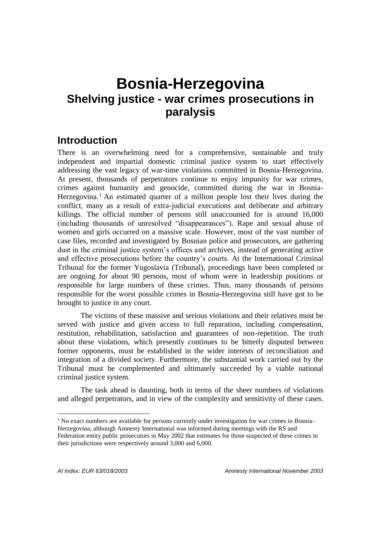# **Bosnia-Herzegovina Shelving justice - war crimes prosecutions in paralysis**

# **Introduction**

There is an overwhelming need for a comprehensive, sustainable and truly independent and impartial domestic criminal justice system to start effectively addressing the vast legacy of war-time violations committed in Bosnia-Herzegovina. At present, thousands of perpetrators continue to enjoy impunity for war crimes, crimes against humanity and genocide, committed during the war in Bosnia-Herzegovina.<sup>1</sup> An estimated quarter of a million people lost their lives during the conflict, many as a result of extra-judicial executions and deliberate and arbitrary killings. The official number of persons still unaccounted for is around 16,000 (including thousands of unresolved "disappearances"). Rape and sexual abuse of women and girls occurred on a massive scale. However, most of the vast number of case files, recorded and investigated by Bosnian police and prosecutors, are gathering dust in the criminal justice system's offices and archives, instead of generating active and effective prosecutions before the country's courts. At the International Criminal Tribunal for the former Yugoslavia (Tribunal), proceedings have been completed or are ongoing for about 90 persons, most of whom were in leadership positions or responsible for large numbers of these crimes. Thus, many thousands of persons responsible for the worst possible crimes in Bosnia-Herzegovina still have got to be brought to justice in any court.

The victims of these massive and serious violations and their relatives must be served with justice and given access to full reparation, including compensation, restitution, rehabilitation, satisfaction and guarantees of non-repetition. The truth about these violations, which presently continues to be bitterly disputed between former opponents, must be established in the wider interests of reconciliation and integration of a divided society. Furthermore, the substantial work carried out by the Tribunal must be complemented and ultimately succeeded by a viable national criminal justice system.

The task ahead is daunting, both in terms of the sheer numbers of violations and alleged perpetrators, and in view of the complexity and sensitivity of these cases.

<sup>&</sup>lt;sup>1</sup> No exact numbers are available for persons currently under investigation for war crimes in Bosnia-Herzegovina, although Amnesty International was informed during meetings with the RS and Federation entity public prosecutors in May 2002 that estimates for those suspected of these crimes in their jurisdictions were respectively around 3,000 and 6,000.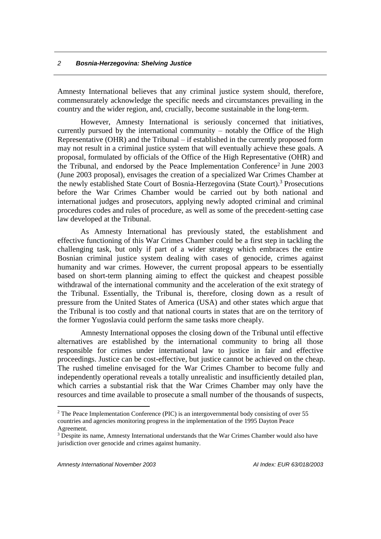Amnesty International believes that any criminal justice system should, therefore, commensurately acknowledge the specific needs and circumstances prevailing in the country and the wider region, and, crucially, become sustainable in the long-term.

However, Amnesty International is seriously concerned that initiatives, currently pursued by the international community – notably the Office of the High Representative (OHR) and the Tribunal – if established in the currently proposed form may not result in a criminal justice system that will eventually achieve these goals. A proposal, formulated by officials of the Office of the High Representative (OHR) and the Tribunal, and endorsed by the Peace Implementation Conference<sup>2</sup> in June 2003 (June 2003 proposal), envisages the creation of a specialized War Crimes Chamber at the newly established State Court of Bosnia-Herzegovina (State Court).<sup>3</sup> Prosecutions before the War Crimes Chamber would be carried out by both national and international judges and prosecutors, applying newly adopted criminal and criminal procedures codes and rules of procedure, as well as some of the precedent-setting case law developed at the Tribunal.

As Amnesty International has previously stated, the establishment and effective functioning of this War Crimes Chamber could be a first step in tackling the challenging task, but only if part of a wider strategy which embraces the entire Bosnian criminal justice system dealing with cases of genocide, crimes against humanity and war crimes. However, the current proposal appears to be essentially based on short-term planning aiming to effect the quickest and cheapest possible withdrawal of the international community and the acceleration of the exit strategy of the Tribunal. Essentially, the Tribunal is, therefore, closing down as a result of pressure from the United States of America (USA) and other states which argue that the Tribunal is too costly and that national courts in states that are on the territory of the former Yugoslavia could perform the same tasks more cheaply.

Amnesty International opposes the closing down of the Tribunal until effective alternatives are established by the international community to bring all those responsible for crimes under international law to justice in fair and effective proceedings. Justice can be cost-effective, but justice cannot be achieved on the cheap. The rushed timeline envisaged for the War Crimes Chamber to become fully and independently operational reveals a totally unrealistic and insufficiently detailed plan, which carries a substantial risk that the War Crimes Chamber may only have the resources and time available to prosecute a small number of the thousands of suspects,

<sup>&</sup>lt;sup>2</sup> The Peace Implementation Conference (PIC) is an intergovernmental body consisting of over 55 countries and agencies monitoring progress in the implementation of the 1995 Dayton Peace Agreement.

<sup>&</sup>lt;sup>3</sup> Despite its name, Amnesty International understands that the War Crimes Chamber would also have jurisdiction over genocide and crimes against humanity.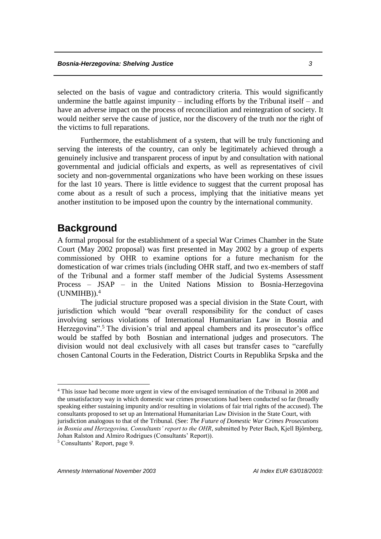selected on the basis of vague and contradictory criteria. This would significantly undermine the battle against impunity – including efforts by the Tribunal itself – and have an adverse impact on the process of reconciliation and reintegration of society. It would neither serve the cause of justice, nor the discovery of the truth nor the right of the victims to full reparations.

Furthermore, the establishment of a system, that will be truly functioning and serving the interests of the country, can only be legitimately achieved through a genuinely inclusive and transparent process of input by and consultation with national governmental and judicial officials and experts, as well as representatives of civil society and non-governmental organizations who have been working on these issues for the last 10 years. There is little evidence to suggest that the current proposal has come about as a result of such a process, implying that the initiative means yet another institution to be imposed upon the country by the international community.

# **Background**

A formal proposal for the establishment of a special War Crimes Chamber in the State Court (May 2002 proposal) was first presented in May 2002 by a group of experts commissioned by OHR to examine options for a future mechanism for the domestication of war crimes trials (including OHR staff, and two ex-members of staff of the Tribunal and a former staff member of the Judicial Systems Assessment Process – JSAP – in the United Nations Mission to Bosnia-Herzegovina (UNMIHB)). 4

The judicial structure proposed was a special division in the State Court, with jurisdiction which would "bear overall responsibility for the conduct of cases involving serious violations of International Humanitarian Law in Bosnia and Herzegovina".<sup>5</sup> The division's trial and appeal chambers and its prosecutor's office would be staffed by both Bosnian and international judges and prosecutors. The division would not deal exclusively with all cases but transfer cases to "carefully chosen Cantonal Courts in the Federation, District Courts in Republika Srpska and the

<sup>4</sup> This issue had become more urgent in view of the envisaged termination of the Tribunal in 2008 and the unsatisfactory way in which domestic war crimes prosecutions had been conducted so far (broadly speaking either sustaining impunity and/or resulting in violations of fair trial rights of the accused). The consultants proposed to set up an International Humanitarian Law Division in the State Court, with jurisdiction analogous to that of the Tribunal. (See: *The Future of Domestic War Crimes Prosecutions in Bosnia and Herzegovina, Consultants' report to the OHR*, submitted by Peter Bach, Kjell Bjőrnberg, Johan Ralston and Almiro Rodrigues (Consultants' Report)).

<sup>5</sup> Consultants' Report, page 9.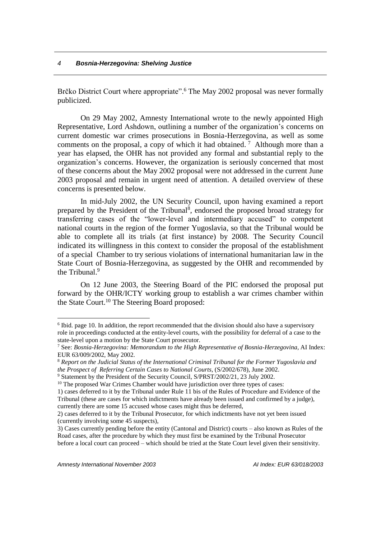Brčko District Court where appropriate".<sup>6</sup> The May 2002 proposal was never formally publicized.

On 29 May 2002, Amnesty International wrote to the newly appointed High Representative, Lord Ashdown, outlining a number of the organization's concerns on current domestic war crimes prosecutions in Bosnia-Herzegovina, as well as some comments on the proposal, a copy of which it had obtained.<sup>7</sup> Although more than a year has elapsed, the OHR has not provided any formal and substantial reply to the organization's concerns. However, the organization is seriously concerned that most of these concerns about the May 2002 proposal were not addressed in the current June 2003 proposal and remain in urgent need of attention. A detailed overview of these concerns is presented below.

In mid-July 2002, the UN Security Council, upon having examined a report prepared by the President of the Tribunal<sup>8</sup>, endorsed the proposed broad strategy for transferring cases of the "lower-level and intermediary accused" to competent national courts in the region of the former Yugoslavia, so that the Tribunal would be able to complete all its trials (at first instance) by 2008. The Security Council indicated its willingness in this context to consider the proposal of the establishment of a special Chamber to try serious violations of international humanitarian law in the State Court of Bosnia-Herzegovina, as suggested by the OHR and recommended by the Tribunal. 9

On 12 June 2003, the Steering Board of the PIC endorsed the proposal put forward by the OHR/ICTY working group to establish a war crimes chamber within the State Court.<sup>10</sup> The Steering Board proposed:

<sup>9</sup> Statement by the President of the Security Council, S/PRST/2002/21, 23 July 2002.

<sup>&</sup>lt;sup>6</sup> Ibid. page 10. In addition, the report recommended that the division should also have a supervisory role in proceedings conducted at the entity-level courts, with the possibility for deferral of a case to the state-level upon a motion by the State Court prosecutor.

<sup>7</sup> See: *Bosnia-Herzegovina: Memorandum to the High Representative of Bosnia-Herzegovina*, AI Index: EUR 63/009/2002, May 2002.

<sup>8</sup> *Report on the Judicial Status of the International Criminal Tribunal for the Former Yugoslavia and the Prospect of Referring Certain Cases to National Courts*, (S/2002/678), June 2002.

<sup>&</sup>lt;sup>10</sup> The proposed War Crimes Chamber would have jurisdiction over three types of cases:

<sup>1)</sup> cases deferred to it by the Tribunal under Rule 11 bis of the Rules of Procedure and Evidence of the Tribunal (these are cases for which indictments have already been issued and confirmed by a judge), currently there are some 15 accused whose cases might thus be deferred,

<sup>2)</sup> cases deferred to it by the Tribunal Prosecutor, for which indictments have not yet been issued (currently involving some 45 suspects),

<sup>3)</sup> Cases currently pending before the entity (Cantonal and District) courts – also known as Rules of the Road cases, after the procedure by which they must first be examined by the Tribunal Prosecutor before a local court can proceed – which should be tried at the State Court level given their sensitivity.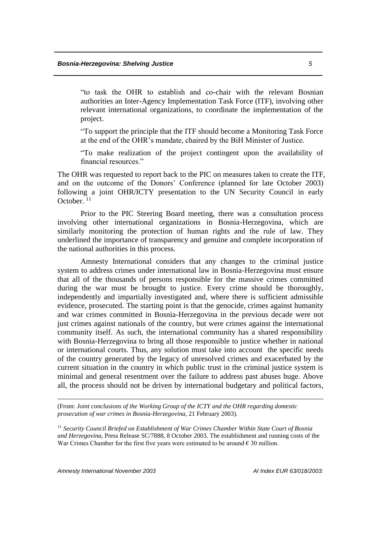"to task the OHR to establish and co-chair with the relevant Bosnian authorities an Inter-Agency Implementation Task Force (ITF), involving other relevant international organizations, to coordinate the implementation of the project.

"To support the principle that the ITF should become a Monitoring Task Force at the end of the OHR's mandate, chaired by the BiH Minister of Justice.

"To make realization of the project contingent upon the availability of financial resources."

The OHR was requested to report back to the PIC on measures taken to create the ITF, and on the outcome of the Donors' Conference (planned for late October 2003) following a joint OHR/ICTY presentation to the UN Security Council in early October. 11

Prior to the PIC Steering Board meeting, there was a consultation process involving other international organizations in Bosnia-Herzegovina, which are similarly monitoring the protection of human rights and the rule of law. They underlined the importance of transparency and genuine and complete incorporation of the national authorities in this process.

Amnesty International considers that any changes to the criminal justice system to address crimes under international law in Bosnia-Herzegovina must ensure that all of the thousands of persons responsible for the massive crimes committed during the war must be brought to justice. Every crime should be thoroughly, independently and impartially investigated and, where there is sufficient admissible evidence, prosecuted. The starting point is that the genocide, crimes against humanity and war crimes committed in Bosnia-Herzegovina in the previous decade were not just crimes against nationals of the country, but were crimes against the international community itself. As such, the international community has a shared responsibility with Bosnia-Herzegovina to bring all those responsible to justice whether in national or international courts. Thus, any solution must take into account the specific needs of the country generated by the legacy of unresolved crimes and exacerbated by the current situation in the country in which public trust in the criminal justice system is minimal and general resentment over the failure to address past abuses huge. Above all, the process should not be driven by international budgetary and political factors,

(From: *Joint conclusions of the Working Group of the ICTY and the OHR regarding domestic prosecution of war crimes in Bosnia-Herzegovina,* 21 February 2003).

<sup>11</sup> *Security Council Briefed on Establishment of War Crimes Chamber Within State Court of Bosnia and Herzegovina*, Press Release SC/7888, 8 October 2003. The establishment and running costs of the War Crimes Chamber for the first five years were estimated to be around  $\epsilon$  30 million.

*Amnesty International November 2003 AI Index EUR 63/018/2003:* 

1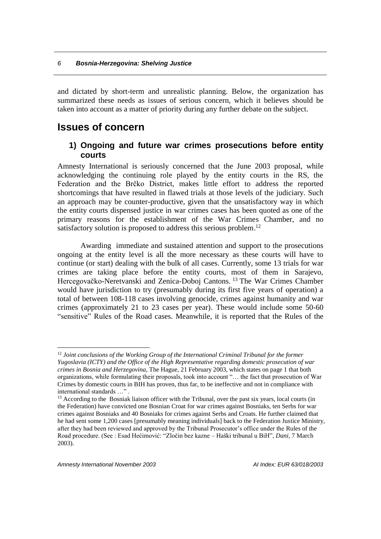and dictated by short-term and unrealistic planning. Below, the organization has summarized these needs as issues of serious concern, which it believes should be taken into account as a matter of priority during any further debate on the subject.

# **Issues of concern**

## **1) Ongoing and future war crimes prosecutions before entity courts**

Amnesty International is seriously concerned that the June 2003 proposal, while acknowledging the continuing role played by the entity courts in the RS, the Federation and the Brčko District, makes little effort to address the reported shortcomings that have resulted in flawed trials at those levels of the judiciary. Such an approach may be counter-productive, given that the unsatisfactory way in which the entity courts dispensed justice in war crimes cases has been quoted as one of the primary reasons for the establishment of the War Crimes Chamber, and no satisfactory solution is proposed to address this serious problem.<sup>12</sup>

Awarding immediate and sustained attention and support to the prosecutions ongoing at the entity level is all the more necessary as these courts will have to continue (or start) dealing with the bulk of all cases. Currently, some 13 trials for war crimes are taking place before the entity courts, most of them in Sarajevo, Hercegovačko-Neretvanski and Zenica-Doboj Cantons.<sup>13</sup> The War Crimes Chamber would have jurisdiction to try (presumably during its first five years of operation) a total of between 108-118 cases involving genocide, crimes against humanity and war crimes (approximately 21 to 23 cases per year). These would include some 50-60 "sensitive" Rules of the Road cases. Meanwhile, it is reported that the Rules of the

<sup>&</sup>lt;sup>12</sup> *Joint conclusions of the Working Group of the International Criminal Tribunal for the former Yugoslavia (ICTY) and the Office of the High Representative regarding domestic prosecution of war crimes in Bosnia and Herzegovina*, The Hague, 21 February 2003, which states on page 1 that both organizations, while formulating their proposals, took into account "… the fact that prosecution of War Crimes by domestic courts in BIH has proven, thus far, to be ineffective and not in compliance with international standards …" .

<sup>&</sup>lt;sup>13</sup> According to the Bosniak liaison officer with the Tribunal, over the past six years, local courts (in the Federation) have convicted one Bosnian Croat for war crimes against Bosniaks, ten Serbs for war crimes against Bosniaks and 40 Bosniaks for crimes against Serbs and Croats. He further claimed that he had sent some 1,200 cases [presumably meaning individuals] back to the Federation Justice Ministry, after they had been reviewed and approved by the Tribunal Prosecutor's office under the Rules of the Road procedure. (See : Esad Hećimović: "Zločin bez kazne – Haški tribunal u BiH", *Dani,* 7 March 2003).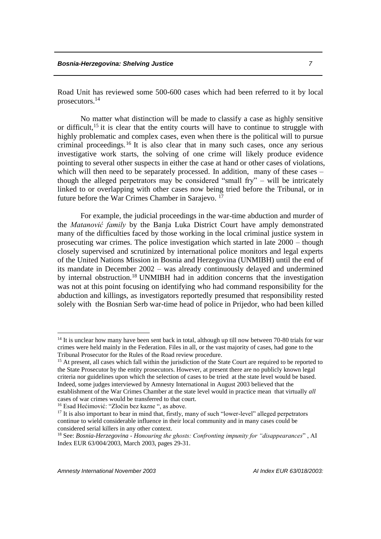Road Unit has reviewed some 500-600 cases which had been referred to it by local prosecutors.<sup>14</sup>

No matter what distinction will be made to classify a case as highly sensitive or difficult,<sup>15</sup> it is clear that the entity courts will have to continue to struggle with highly problematic and complex cases, even when there is the political will to pursue criminal proceedings.<sup>16</sup> It is also clear that in many such cases, once any serious investigative work starts, the solving of one crime will likely produce evidence pointing to several other suspects in either the case at hand or other cases of violations, which will then need to be separately processed. In addition, many of these cases – though the alleged perpetrators may be considered "small fry" – will be intricately linked to or overlapping with other cases now being tried before the Tribunal, or in future before the War Crimes Chamber in Sarajevo. <sup>17</sup>

For example, the judicial proceedings in the war-time abduction and murder of the *Matanović family* by the Banja Luka District Court have amply demonstrated many of the difficulties faced by those working in the local criminal justice system in prosecuting war crimes. The police investigation which started in late 2000 – though closely supervised and scrutinized by international police monitors and legal experts of the United Nations Mission in Bosnia and Herzegovina (UNMIBH) until the end of its mandate in December 2002 – was already continuously delayed and undermined by internal obstruction.<sup>18</sup> UNMIBH had in addition concerns that the investigation was not at this point focusing on identifying who had command responsibility for the abduction and killings, as investigators reportedly presumed that responsibility rested solely with the Bosnian Serb war-time head of police in Prijedor, who had been killed

<sup>&</sup>lt;sup>14</sup> It is unclear how many have been sent back in total, although up till now between 70-80 trials for war crimes were held mainly in the Federation. Files in all, or the vast majority of cases, had gone to the Tribunal Prosecutor for the Rules of the Road review procedure.

<sup>&</sup>lt;sup>15</sup> At present, all cases which fall within the jurisdiction of the State Court are required to be reported to the State Prosecutor by the entity prosecutors. However, at present there are no publicly known legal criteria nor guidelines upon which the selection of cases to be tried at the state level would be based. Indeed, some judges interviewed by Amnesty International in August 2003 believed that the establishment of the War Crimes Chamber at the state level would in practice mean that virtually *all*  cases of war crimes would be transferred to that court.

<sup>16</sup> Esad Hećimović: "Zločin bez kazne ", as above.

<sup>&</sup>lt;sup>17</sup> It is also important to bear in mind that, firstly, many of such "lower-level" alleged perpetrators continue to wield considerable influence in their local community and in many cases could be considered serial killers in any other context.

<sup>18</sup> See: *Bosnia-Herzegovina - Honouring the ghosts: Confronting impunity for "disappearances*" , AI Index EUR 63/004/2003, March 2003, pages 29-31.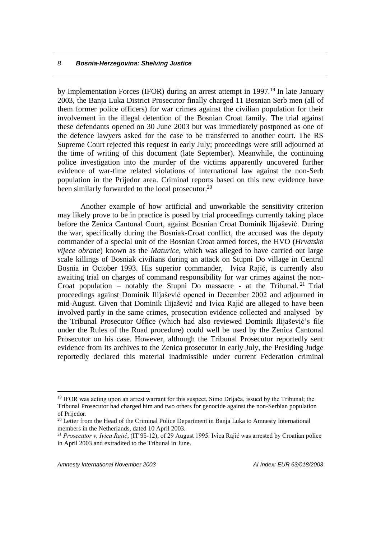by Implementation Forces (IFOR) during an arrest attempt in 1997.<sup>19</sup> In late January 2003, the Banja Luka District Prosecutor finally charged 11 Bosnian Serb men (all of them former police officers) for war crimes against the civilian population for their involvement in the illegal detention of the Bosnian Croat family. The trial against these defendants opened on 30 June 2003 but was immediately postponed as one of the defence lawyers asked for the case to be transferred to another court. The RS Supreme Court rejected this request in early July; proceedings were still adjourned at the time of writing of this document (late September). Meanwhile, the continuing police investigation into the murder of the victims apparently uncovered further evidence of war-time related violations of international law against the non-Serb population in the Prijedor area. Criminal reports based on this new evidence have been similarly forwarded to the local prosecutor.<sup>20</sup>

Another example of how artificial and unworkable the sensitivity criterion may likely prove to be in practice is posed by trial proceedings currently taking place before the Zenica Cantonal Court, against Bosnian Croat Dominik Ilijašević. During the war, specifically during the Bosniak-Croat conflict, the accused was the deputy commander of a special unit of the Bosnian Croat armed forces, the HVO (*Hrvatsko vijece obrane*) known as the *Maturice,* which was alleged to have carried out large scale killings of Bosniak civilians during an attack on Stupni Do village in Central Bosnia in October 1993. His superior commander, Ivica Rajić, is currently also awaiting trial on charges of command responsibility for war crimes against the non-Croat population – notably the Stupni Do massacre - at the Tribunal.<sup>21</sup> Trial proceedings against Dominik Ilijašević opened in December 2002 and adjourned in mid-August. Given that Dominik Ilijašević and Ivica Rajić are alleged to have been involved partly in the same crimes, prosecution evidence collected and analysed by the Tribunal Prosecutor Office (which had also reviewed Dominik Ilijašević's file under the Rules of the Road procedure) could well be used by the Zenica Cantonal Prosecutor on his case. However, although the Tribunal Prosecutor reportedly sent evidence from its archives to the Zenica prosecutor in early July, the Presiding Judge reportedly declared this material inadmissible under current Federation criminal

<sup>&</sup>lt;sup>19</sup> IFOR was acting upon an arrest warrant for this suspect, Simo Drljača, issued by the Tribunal; the Tribunal Prosecutor had charged him and two others for genocide against the non-Serbian population of Prijedor.

<sup>&</sup>lt;sup>20</sup> Letter from the Head of the Criminal Police Department in Banja Luka to Amnesty International members in the Netherlands, dated 10 April 2003.

<sup>&</sup>lt;sup>21</sup> *Prosecutor v. Ivica Rajić*, (IT 95-12), of 29 August 1995. Ivica Rajić was arrested by Croatian police in April 2003 and extradited to the Tribunal in June.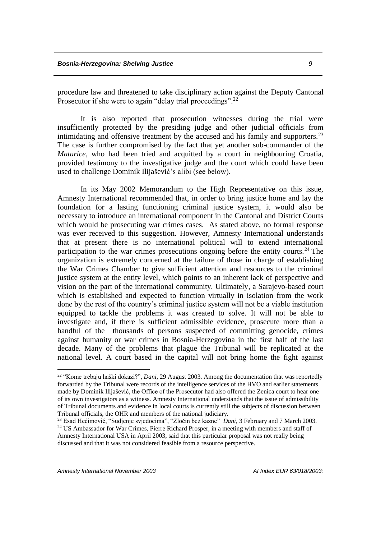procedure law and threatened to take disciplinary action against the Deputy Cantonal Prosecutor if she were to again "delay trial proceedings".<sup>22</sup>

It is also reported that prosecution witnesses during the trial were insufficiently protected by the presiding judge and other judicial officials from intimidating and offensive treatment by the accused and his family and supporters.<sup>23</sup> The case is further compromised by the fact that yet another sub-commander of the *Maturice*, who had been tried and acquitted by a court in neighbouring Croatia, provided testimony to the investigative judge and the court which could have been used to challenge Dominik Ilijašević's alibi (see below).

In its May 2002 Memorandum to the High Representative on this issue, Amnesty International recommended that, in order to bring justice home and lay the foundation for a lasting functioning criminal justice system, it would also be necessary to introduce an international component in the Cantonal and District Courts which would be prosecuting war crimes cases. As stated above, no formal response was ever received to this suggestion. However, Amnesty International understands that at present there is no international political will to extend international participation to the war crimes prosecutions ongoing before the entity courts.<sup>24</sup> The organization is extremely concerned at the failure of those in charge of establishing the War Crimes Chamber to give sufficient attention and resources to the criminal justice system at the entity level, which points to an inherent lack of perspective and vision on the part of the international community. Ultimately, a Sarajevo-based court which is established and expected to function virtually in isolation from the work done by the rest of the country's criminal justice system will not be a viable institution equipped to tackle the problems it was created to solve. It will not be able to investigate and, if there is sufficient admissible evidence, prosecute more than a handful of the thousands of persons suspected of committing genocide, crimes against humanity or war crimes in Bosnia-Herzegovina in the first half of the last decade. Many of the problems that plague the Tribunal will be replicated at the national level. A court based in the capital will not bring home the fight against

<sup>22</sup> "Kome trebaju haški dokazi?", *Dani*, 29 August 2003. Among the documentation that was reportedly forwarded by the Tribunal were records of the intelligence services of the HVO and earlier statements made by Dominik Ilijašević, the Office of the Prosecutor had also offered the Zenica court to hear one of its own investigators as a witness. Amnesty International understands that the issue of admissibility of Tribunal documents and evidence in local courts is currently still the subjects of discussion between Tribunal officials, the OHR and members of the national judiciary.

<sup>23</sup> Esad Hećimović, "Sudjenje svjedocima", "Zločin bez kazne" *Dani*, 3 February and 7 March 2003. <sup>24</sup> US Ambassador for War Crimes, Pierre Richard Prosper, in a meeting with members and staff of Amnesty International USA in April 2003, said that this particular proposal was not really being discussed and that it was not considered feasible from a resource perspective.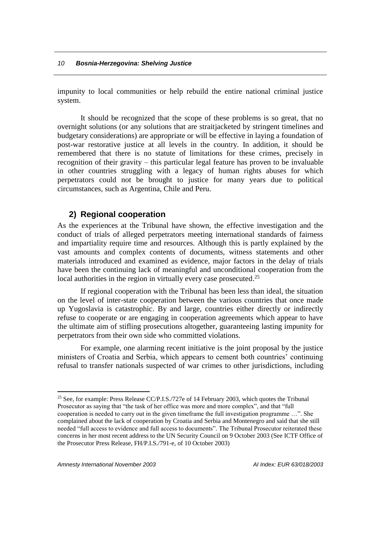impunity to local communities or help rebuild the entire national criminal justice system.

It should be recognized that the scope of these problems is so great, that no overnight solutions (or any solutions that are straitjacketed by stringent timelines and budgetary considerations) are appropriate or will be effective in laying a foundation of post-war restorative justice at all levels in the country. In addition, it should be remembered that there is no statute of limitations for these crimes, precisely in recognition of their gravity – this particular legal feature has proven to be invaluable in other countries struggling with a legacy of human rights abuses for which perpetrators could not be brought to justice for many years due to political circumstances, such as Argentina, Chile and Peru.

### **2) Regional cooperation**

As the experiences at the Tribunal have shown, the effective investigation and the conduct of trials of alleged perpetrators meeting international standards of fairness and impartiality require time and resources. Although this is partly explained by the vast amounts and complex contents of documents, witness statements and other materials introduced and examined as evidence, major factors in the delay of trials have been the continuing lack of meaningful and unconditional cooperation from the local authorities in the region in virtually every case prosecuted.<sup>25</sup>

If regional cooperation with the Tribunal has been less than ideal, the situation on the level of inter-state cooperation between the various countries that once made up Yugoslavia is catastrophic. By and large, countries either directly or indirectly refuse to cooperate or are engaging in cooperation agreements which appear to have the ultimate aim of stifling prosecutions altogether, guaranteeing lasting impunity for perpetrators from their own side who committed violations.

For example, one alarming recent initiative is the joint proposal by the justice ministers of Croatia and Serbia, which appears to cement both countries' continuing refusal to transfer nationals suspected of war crimes to other jurisdictions, including

<sup>&</sup>lt;sup>25</sup> See, for example: Press Release CC/P.I.S./727e of 14 February 2003, which quotes the Tribunal Prosecutor as saying that "the task of her office was more and more complex", and that "full cooperation is needed to carry out in the given timeframe the full investigation programme …". She complained about the lack of cooperation by Croatia and Serbia and Montenegro and said that she still needed "full access to evidence and full access to documents". The Tribunal Prosecutor reiterated these concerns in her most recent address to the UN Security Council on 9 October 2003 (See ICTF Office of the Prosecutor Press Release, FH/P.I.S./791-e, of 10 October 2003)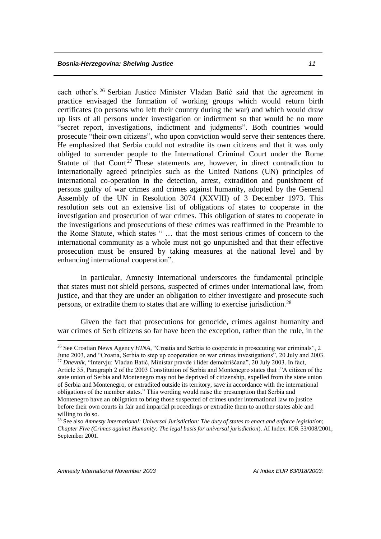each other's. <sup>26</sup> Serbian Justice Minister Vladan Batić said that the agreement in practice envisaged the formation of working groups which would return birth certificates (to persons who left their country during the war) and which would draw up lists of all persons under investigation or indictment so that would be no more "secret report, investigations, indictment and judgments". Both countries would prosecute "their own citizens", who upon conviction would serve their sentences there. He emphasized that Serbia could not extradite its own citizens and that it was only obliged to surrender people to the International Criminal Court under the Rome Statute of that Court<sup>27</sup> These statements are, however, in direct contradiction to internationally agreed principles such as the United Nations (UN) principles of international co-operation in the detection, arrest, extradition and punishment of persons guilty of war crimes and crimes against humanity, adopted by the General Assembly of the UN in Resolution 3074 (XXVIII) of 3 December 1973. This resolution sets out an extensive list of obligations of states to cooperate in the investigation and prosecution of war crimes. This obligation of states to cooperate in the investigations and prosecutions of these crimes was reaffirmed in the Preamble to the Rome Statute, which states " … that the most serious crimes of concern to the international community as a whole must not go unpunished and that their effective prosecution must be ensured by taking measures at the national level and by enhancing international cooperation".

In particular, Amnesty International underscores the fundamental principle that states must not shield persons, suspected of crimes under international law, from justice, and that they are under an obligation to either investigate and prosecute such persons, or extradite them to states that are willing to exercise jurisdiction.<sup>28</sup>

Given the fact that prosecutions for genocide, crimes against humanity and war crimes of Serb citizens so far have been the exception, rather than the rule, in the

<sup>&</sup>lt;sup>26</sup> See Croatian News Agency *HINA*, "Croatia and Serbia to cooperate in prosecuting war criminals", 2 June 2003, and "Croatia, Serbia to step up cooperation on war crimes investigations", 20 July and 2003. <sup>27</sup> *Dnevnik*, "Intervju: Vladan Batić, Ministar pravde i lider demohrišćana", 20 July 2003. In fact,

Article 35, Paragraph 2 of the 2003 Constitution of Serbia and Montenegro states that :"A citizen of the state union of Serbia and Montenegro may not be deprived of citizenship, expelled from the state union of Serbia and Montenegro, or extradited outside its territory, save in accordance with the international obligations of the member states." This wording would raise the presumption that Serbia and Montenegro have an obligation to bring those suspected of crimes under international law to justice before their own courts in fair and impartial proceedings or extradite them to another states able and willing to do so.

<sup>28</sup> See also *Amnesty International: Universal Jurisdiction: The duty of states to enact and enforce legislation*; *Chapter Five (Crimes against Humanity: The legal basis for universal jurisdiction*). AI Index: IOR 53/008/2001, September 2001.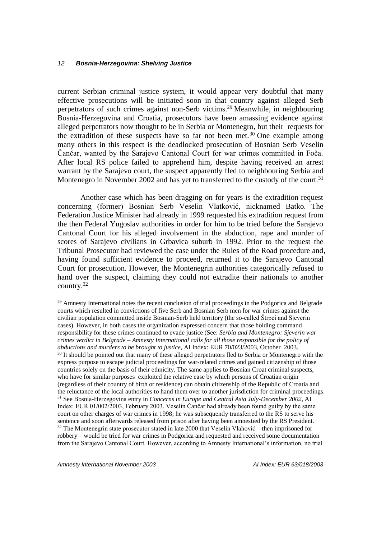current Serbian criminal justice system, it would appear very doubtful that many effective prosecutions will be initiated soon in that country against alleged Serb perpetrators of such crimes against non-Serb victims. <sup>29</sup> Meanwhile, in neighbouring Bosnia-Herzegovina and Croatia, prosecutors have been amassing evidence against alleged perpetrators now thought to be in Serbia or Montenegro, but their requests for the extradition of these suspects have so far not been met.<sup>30</sup> One example among many others in this respect is the deadlocked prosecution of Bosnian Serb Veselin Čančar, wanted by the Sarajevo Cantonal Court for war crimes committed in Foča. After local RS police failed to apprehend him, despite having received an arrest warrant by the Sarajevo court, the suspect apparently fled to neighbouring Serbia and Montenegro in November 2002 and has yet to transferred to the custody of the court.<sup>31</sup>

Another case which has been dragging on for years is the extradition request concerning (former) Bosnian Serb Veselin Vlatković, nicknamed Batko. The Federation Justice Minister had already in 1999 requested his extradition request from the then Federal Yugoslav authorities in order for him to be tried before the Sarajevo Cantonal Court for his alleged involvement in the abduction, rape and murder of scores of Sarajevo civilians in Grbavica suburb in 1992. Prior to the request the Tribunal Prosecutor had reviewed the case under the Rules of the Road procedure and, having found sufficient evidence to proceed, returned it to the Sarajevo Cantonal Court for prosecution. However, the Montenegrin authorities categorically refused to hand over the suspect, claiming they could not extradite their nationals to another country.<sup>32</sup>

<sup>&</sup>lt;sup>29</sup> Amnesty International notes the recent conclusion of trial proceedings in the Podgorica and Belgrade courts which resulted in convictions of five Serb and Bosnian Serb men for war crimes against the civilian population committed inside Bosnian-Serb held territory (the so-called Štrpci and Sjeverin cases). However, in both cases the organization expressed concern that those holding command responsibility for these crimes continued to evade justice (See: *Serbia and Montenegro: Sjeverin war crimes verdict in Belgrade – Amnesty International calls for all those responsible for the policy of abductions and murders to be brought to justice*, AI Index: EUR 70/023/2003, October 2003. <sup>30</sup> It should be pointed out that many of these alleged perpetrators fled to Serbia or Montenegro with the express purpose to escape judicial proceedings for war-related crimes and gained citizenship of those countries solely on the basis of their ethnicity. The same applies to Bosnian Croat criminal suspects, who have for similar purposes exploited the relative ease by which persons of Croatian origin (regardless of their country of birth or residence) can obtain citizenship of the Republic of Croatia and the reluctance of the local authorities to hand them over to another jurisdiction for criminal proceedings. <sup>31</sup> See Bosnia-Herzegovina entry in *Concerns in Europe and Central Asia July-December 2002*, AI Index: EUR 01/002/2003, February 2003. Veselin Čančar had already been found guilty by the same court on other charges of war crimes in 1998; he was subsequently transferred to the RS to serve his sentence and soon afterwards released from prison after having been amnestied by the RS President.  $32$  The Montenegrin state prosecutor stated in late 2000 that Veselin Vlahović – then imprisoned for robbery – would be tried for war crimes in Podgorica and requested and received some documentation from the Sarajevo Cantonal Court. However, according to Amnesty International's information, no trial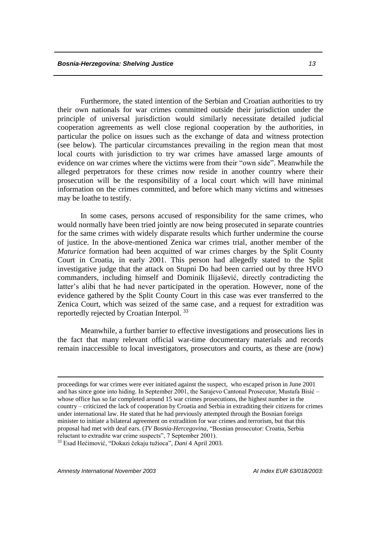Furthermore, the stated intention of the Serbian and Croatian authorities to try their own nationals for war crimes committed outside their jurisdiction under the principle of universal jurisdiction would similarly necessitate detailed judicial cooperation agreements as well close regional cooperation by the authorities, in particular the police on issues such as the exchange of data and witness protection (see below). The particular circumstances prevailing in the region mean that most local courts with jurisdiction to try war crimes have amassed large amounts of evidence on war crimes where the victims were from their "own side". Meanwhile the alleged perpetrators for these crimes now reside in another country where their prosecution will be the responsibility of a local court which will have minimal information on the crimes committed, and before which many victims and witnesses may be loathe to testify.

In some cases, persons accused of responsibility for the same crimes, who would normally have been tried jointly are now being prosecuted in separate countries for the same crimes with widely disparate results which further undermine the course of justice. In the above-mentioned Zenica war crimes trial, another member of the *Maturice* formation had been acquitted of war crimes charges by the Split County Court in Croatia, in early 2001. This person had allegedly stated to the Split investigative judge that the attack on Stupni Do had been carried out by three HVO commanders, including himself and Dominik Ilijašević, directly contradicting the latter's alibi that he had never participated in the operation. However, none of the evidence gathered by the Split County Court in this case was ever transferred to the Zenica Court, which was seized of the same case, and a request for extradition was reportedly rejected by Croatian Interpol. <sup>33</sup>

Meanwhile, a further barrier to effective investigations and prosecutions lies in the fact that many relevant official war-time documentary materials and records remain inaccessible to local investigators, prosecutors and courts, as these are (now)

<sup>33</sup> Esad Hećimović, "Dokazi čekaju tužioca", *Dani* 4 April 2003.

*Amnesty International November 2003 AI Index EUR 63/018/2003:* 

1

proceedings for war crimes were ever initiated against the suspect, who escaped prison in June 2001 and has since gone into hiding. In September 2001, the Sarajevo Cantonal Prosecutor, Mustafa Bisić – whose office has so far completed around 15 war crimes prosecutions, the highest number in the country – criticized the lack of cooperation by Croatia and Serbia in extraditing their citizens for crimes under international law. He stated that he had previously attempted through the Bosnian foreign minister to initiate a bilateral agreement on extradition for war crimes and terrorism, but that this proposal had met with deaf ears. (*TV Bosnia-Hercegovina*, "Bosnian prosecutor: Croatia, Serbia reluctant to extradite war crime suspects", 7 September 2001).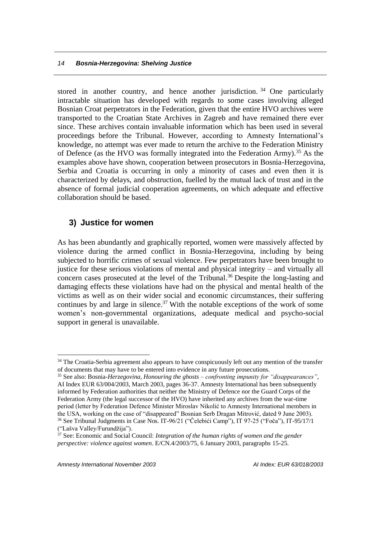stored in another country, and hence another jurisdiction.<sup>34</sup> One particularly intractable situation has developed with regards to some cases involving alleged Bosnian Croat perpetrators in the Federation, given that the entire HVO archives were transported to the Croatian State Archives in Zagreb and have remained there ever since. These archives contain invaluable information which has been used in several proceedings before the Tribunal. However, according to Amnesty International's knowledge, no attempt was ever made to return the archive to the Federation Ministry of Defence (as the HVO was formally integrated into the Federation Army).<sup>35</sup> As the examples above have shown, cooperation between prosecutors in Bosnia-Herzegovina, Serbia and Croatia is occurring in only a minority of cases and even then it is characterized by delays, and obstruction, fuelled by the mutual lack of trust and in the absence of formal judicial cooperation agreements, on which adequate and effective collaboration should be based.

# **3) Justice for women**

As has been abundantly and graphically reported, women were massively affected by violence during the armed conflict in Bosnia-Herzegovina, including by being subjected to horrific crimes of sexual violence. Few perpetrators have been brought to justice for these serious violations of mental and physical integrity – and virtually all concern cases prosecuted at the level of the Tribunal. <sup>36</sup> Despite the long-lasting and damaging effects these violations have had on the physical and mental health of the victims as well as on their wider social and economic circumstances, their suffering continues by and large in silence.<sup>37</sup> With the notable exceptions of the work of some women's non-governmental organizations, adequate medical and psycho-social support in general is unavailable.

<sup>&</sup>lt;sup>34</sup> The Croatia-Serbia agreement also appears to have conspicuously left out any mention of the transfer of documents that may have to be entered into evidence in any future prosecutions.

<sup>35</sup> See also: Bosnia*-Herzegovina, Honouring the ghosts – confronting impunity for "disappearances"*, AI Index EUR 63/004/2003, March 2003, pages 36-37. Amnesty International has been subsequently informed by Federation authorities that neither the Ministry of Defence nor the Guard Corps of the Federation Army (the legal successor of the HVO) have inherited any archives from the war-time period (letter by Federation Defence Minister Miroslav Nikolić to Amnesty International members in the USA, working on the case of "disappeared" Bosnian Serb Dragan Mitrović, dated 9 June 2003). <sup>36</sup> See Tribunal Judgments in Case Nos. IT-96/21 ("Čelebići Camp"), IT 97-25 ("Foča"), IT-95/17/1 ("Lašva Valley/Furundžija").

<sup>37</sup> See: Economic and Social Council: *Integration of the human rights of women and the gender perspective: violence against women*. E/CN.4/2003/75, 6 January 2003, paragraphs 15-25.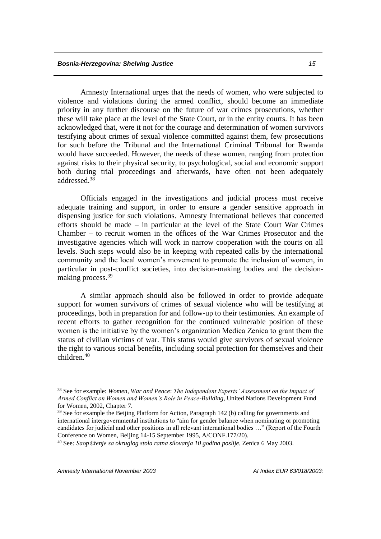Amnesty International urges that the needs of women, who were subjected to violence and violations during the armed conflict, should become an immediate priority in any further discourse on the future of war crimes prosecutions, whether these will take place at the level of the State Court, or in the entity courts. It has been acknowledged that, were it not for the courage and determination of women survivors testifying about crimes of sexual violence committed against them, few prosecutions for such before the Tribunal and the International Criminal Tribunal for Rwanda would have succeeded. However, the needs of these women, ranging from protection against risks to their physical security, to psychological, social and economic support both during trial proceedings and afterwards, have often not been adequately addressed.<sup>38</sup>

Officials engaged in the investigations and judicial process must receive adequate training and support, in order to ensure a gender sensitive approach in dispensing justice for such violations. Amnesty International believes that concerted efforts should be made – in particular at the level of the State Court War Crimes Chamber – to recruit women in the offices of the War Crimes Prosecutor and the investigative agencies which will work in narrow cooperation with the courts on all levels. Such steps would also be in keeping with repeated calls by the international community and the local women's movement to promote the inclusion of women, in particular in post-conflict societies, into decision-making bodies and the decisionmaking process.<sup>39</sup>

A similar approach should also be followed in order to provide adequate support for women survivors of crimes of sexual violence who will be testifying at proceedings, both in preparation for and follow-up to their testimonies. An example of recent efforts to gather recognition for the continued vulnerable position of these women is the initiative by the women's organization Medica Zenica to grant them the status of civilian victims of war. This status would give survivors of sexual violence the right to various social benefits, including social protection for themselves and their  $children$ <sup>40</sup>

<sup>38</sup> See for example: *Women, War and Peace*: *The Independent Experts' Assessment on the Impact of Armed Conflict on Women and Women's Role in Peace-Building*, United Nations Development Fund for Women, 2002, Chapter 7.

<sup>&</sup>lt;sup>39</sup> See for example the Beijing Platform for Action, Paragraph 142 (b) calling for governments and international intergovernmental institutions to "aim for gender balance when nominating or promoting candidates for judicial and other positions in all relevant international bodies …" (Report of the Fourth Conference on Women, Beijing 14-15 September 1995, A/CONF.177/20).

<sup>40</sup> See*: Saoptenje sa okruglog stola ratna silovanja 10 godina poslije*, Zenica 6 May 2003.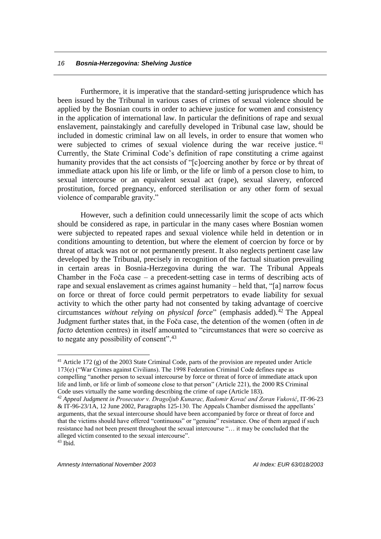Furthermore, it is imperative that the standard-setting jurisprudence which has been issued by the Tribunal in various cases of crimes of sexual violence should be applied by the Bosnian courts in order to achieve justice for women and consistency in the application of international law. In particular the definitions of rape and sexual enslavement, painstakingly and carefully developed in Tribunal case law, should be included in domestic criminal law on all levels, in order to ensure that women who were subjected to crimes of sexual violence during the war receive justice.<sup>41</sup> Currently, the State Criminal Code's definition of rape constituting a crime against humanity provides that the act consists of "[c]oercing another by force or by threat of immediate attack upon his life or limb, or the life or limb of a person close to him, to sexual intercourse or an equivalent sexual act (rape), sexual slavery, enforced prostitution, forced pregnancy, enforced sterilisation or any other form of sexual violence of comparable gravity."

However, such a definition could unnecessarily limit the scope of acts which should be considered as rape, in particular in the many cases where Bosnian women were subjected to repeated rapes and sexual violence while held in detention or in conditions amounting to detention, but where the element of coercion by force or by threat of attack was not or not permanently present. It also neglects pertinent case law developed by the Tribunal, precisely in recognition of the factual situation prevailing in certain areas in Bosnia-Herzegovina during the war. The Tribunal Appeals Chamber in the Foča case – a precedent-setting case in terms of describing acts of rape and sexual enslavement as crimes against humanity – held that, "[a] narrow focus on force or threat of force could permit perpetrators to evade liability for sexual activity to which the other party had not consented by taking advantage of coercive circumstances *without relying on physical force*" (emphasis added).<sup>42</sup> The Appeal Judgment further states that, in the Foča case, the detention of the women (often in *de facto* detention centres) in itself amounted to "circumstances that were so coercive as to negate any possibility of consent".<sup>43</sup>

<sup>&</sup>lt;sup>41</sup> Article 172 (g) of the 2003 State Criminal Code, parts of the provision are repeated under Article 173(e) ("War Crimes against Civilians). The 1998 Federation Criminal Code defines rape as compelling "another person to sexual intercourse by force or threat of force of immediate attack upon life and limb, or life or limb of someone close to that person" (Article 221), the 2000 RS Criminal Code uses virtually the same wording describing the crime of rape (Article 183).

<sup>42</sup> *Appeal Judgment in Prosecutor v. Dragoljub Kunarac, Radomir Kovač and Zoran Vuković*, IT-96-23 & IT-96-23/1A, 12 June 2002, Paragraphs 125-130. The Appeals Chamber dismissed the appellants' arguments, that the sexual intercourse should have been accompanied by force or threat of force and that the victims should have offered "continuous" or "genuine" resistance. One of them argued if such resistance had not been present throughout the sexual intercourse "… it may be concluded that the alleged victim consented to the sexual intercourse".  $43$  Ibid.

*Amnesty International November 2003 AI Index: EUR 63/018/2003*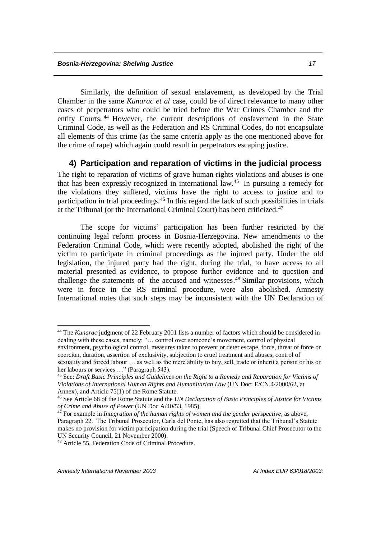Similarly, the definition of sexual enslavement, as developed by the Trial Chamber in the same *Kunarac et al* case, could be of direct relevance to many other cases of perpetrators who could be tried before the War Crimes Chamber and the entity Courts. <sup>44</sup> However, the current descriptions of enslavement in the State Criminal Code, as well as the Federation and RS Criminal Codes, do not encapsulate all elements of this crime (as the same criteria apply as the one mentioned above for the crime of rape) which again could result in perpetrators escaping justice.

### **4) Participation and reparation of victims in the judicial process**

The right to reparation of victims of grave human rights violations and abuses is one that has been expressly recognized in international law.<sup>45</sup> In pursuing a remedy for the violations they suffered, victims have the right to access to justice and to participation in trial proceedings.<sup>46</sup> In this regard the lack of such possibilities in trials at the Tribunal (or the International Criminal Court) has been criticized.<sup>47</sup>

The scope for victims' participation has been further restricted by the continuing legal reform process in Bosnia-Herzegovina. New amendments to the Federation Criminal Code, which were recently adopted, abolished the right of the victim to participate in criminal proceedings as the injured party. Under the old legislation, the injured party had the right, during the trial, to have access to all material presented as evidence, to propose further evidence and to question and challenge the statements of the accused and witnesses. <sup>48</sup> Similar provisions, which were in force in the RS criminal procedure, were also abolished. Amnesty International notes that such steps may be inconsistent with the UN Declaration of

<sup>44</sup> The *Kunarac* judgment of 22 February 2001 lists a number of factors which should be considered in dealing with these cases, namely: "… control over someone's movement, control of physical environment, psychological control, measures taken to prevent or deter escape, force, threat of force or

coercion, duration, assertion of exclusivity, subjection to cruel treatment and abuses, control of sexuality and forced labour … as well as the mere ability to buy, sell, trade or inherit a person or his or her labours or services ..." (Paragraph 543).

<sup>45</sup> See: *Draft Basic Principles and Guidelines on the Right to a Remedy and Reparation for Victims of Violations of International Human Rights and Humanitarian Law* (UN Doc: E/CN.4/2000/62, at Annex), and Article 75(1) of the Rome Statute.

<sup>46</sup> See Article 68 of the Rome Statute and the *UN Declaration of Basic Principles of Justice for Victims of Crime and Abuse of Power* (UN Doc A/40/53, 1985).

<sup>&</sup>lt;sup>47</sup> For example in *Integration of the human rights of women and the gender perspective*, as above, Paragraph 22. The Tribunal Prosecutor, Carla del Ponte, has also regretted that the Tribunal's Statute makes no provision for victim participation during the trial (Speech of Tribunal Chief Prosecutor to the UN Security Council, 21 November 2000).

<sup>48</sup> Article 55, Federation Code of Criminal Procedure.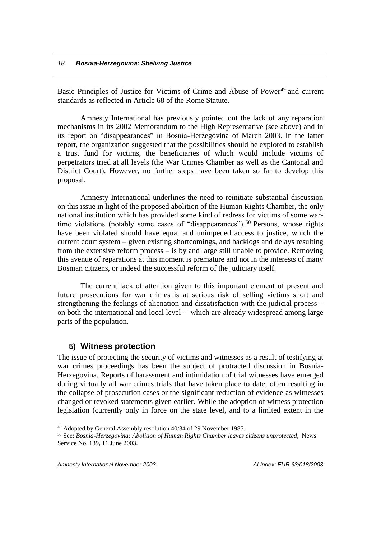Basic Principles of Justice for Victims of Crime and Abuse of Power<sup>49</sup> and current standards as reflected in Article 68 of the Rome Statute.

Amnesty International has previously pointed out the lack of any reparation mechanisms in its 2002 Memorandum to the High Representative (see above) and in its report on "disappearances" in Bosnia-Herzegovina of March 2003. In the latter report, the organization suggested that the possibilities should be explored to establish a trust fund for victims, the beneficiaries of which would include victims of perpetrators tried at all levels (the War Crimes Chamber as well as the Cantonal and District Court). However, no further steps have been taken so far to develop this proposal.

Amnesty International underlines the need to reinitiate substantial discussion on this issue in light of the proposed abolition of the Human Rights Chamber, the only national institution which has provided some kind of redress for victims of some wartime violations (notably some cases of "disappearances"). <sup>50</sup> Persons, whose rights have been violated should have equal and unimpeded access to justice, which the current court system – given existing shortcomings, and backlogs and delays resulting from the extensive reform process – is by and large still unable to provide. Removing this avenue of reparations at this moment is premature and not in the interests of many Bosnian citizens, or indeed the successful reform of the judiciary itself.

The current lack of attention given to this important element of present and future prosecutions for war crimes is at serious risk of selling victims short and strengthening the feelings of alienation and dissatisfaction with the judicial process – on both the international and local level -- which are already widespread among large parts of the population.

#### **5) Witness protection**

The issue of protecting the security of victims and witnesses as a result of testifying at war crimes proceedings has been the subject of protracted discussion in Bosnia-Herzegovina. Reports of harassment and intimidation of trial witnesses have emerged during virtually all war crimes trials that have taken place to date, often resulting in the collapse of prosecution cases or the significant reduction of evidence as witnesses changed or revoked statements given earlier. While the adoption of witness protection legislation (currently only in force on the state level, and to a limited extent in the

*Amnesty International November 2003 AI Index: EUR 63/018/2003*

<sup>49</sup> Adopted by General Assembly resolution 40/34 of 29 November 1985.

<sup>50</sup> See: *Bosnia-Herzegovina: Abolition of Human Rights Chamber leaves citizens unprotected*, News Service No. 139, 11 June 2003.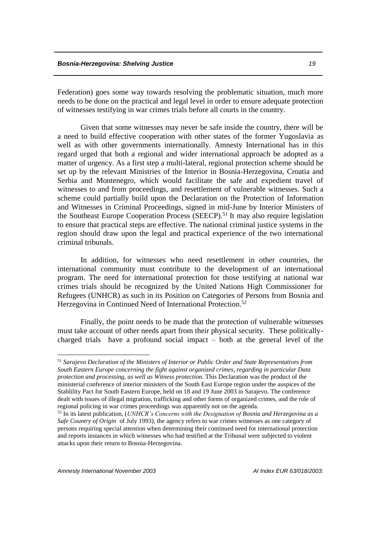Federation) goes some way towards resolving the problematic situation, much more needs to be done on the practical and legal level in order to ensure adequate protection of witnesses testifying in war crimes trials before all courts in the country.

Given that some witnesses may never be safe inside the country, there will be a need to build effective cooperation with other states of the former Yugoslavia as well as with other governments internationally. Amnesty International has in this regard urged that both a regional and wider international approach be adopted as a matter of urgency. As a first step a multi-lateral, regional protection scheme should be set up by the relevant Ministries of the Interior in Bosnia-Herzegovina, Croatia and Serbia and Montenegro, which would facilitate the safe and expedient travel of witnesses to and from proceedings, and resettlement of vulnerable witnesses. Such a scheme could partially build upon the Declaration on the Protection of Information and Witnesses in Criminal Proceedings, signed in mid-June by Interior Ministers of the Southeast Europe Cooperation Process (SEECP).<sup>51</sup> It may also require legislation to ensure that practical steps are effective. The national criminal justice systems in the region should draw upon the legal and practical experience of the two international criminal tribunals.

In addition, for witnesses who need resettlement in other countries, the international community must contribute to the development of an international program. The need for international protection for those testifying at national war crimes trials should be recognized by the United Nations High Commissioner for Refugees (UNHCR) as such in its Position on Categories of Persons from Bosnia and Herzegovina in Continued Need of International Protection.<sup>52</sup>

Finally, the point needs to be made that the protection of vulnerable witnesses must take account of other needs apart from their physical security. These politicallycharged trials have a profound social impact – both at the general level of the

<sup>51</sup> *Sarajevo Declaration of the Ministers of Interior or Public Order and State Representatives from South Eastern Europe concerning the fight against organized crimes, regarding in particular Data protection and processing, as well as Witness protection*. This Declaration was the product of the ministerial conference of interior ministers of the South East Europe region under the auspices of the Stablility Pact for South Eastern Europe, held on 18 and 19 June 2003 in Sarajevo. The conference dealt with issues of illegal migration, trafficking and other forms of organized crimes, and the role of regional policing in war crimes proceedings was apparently not on the agenda.

<sup>52</sup> In its latest publication, (*UNHCR's Concerns with the Designation of Bosnia and Herzegovina as a Safe Country of Origin* of July 1993), the agency refers to war crimes witnesses as one category of persons requiring special attention when determining their continued need for international protection and reports instances in which witnesses who had testified at the Tribunal were subjected to violent attacks upon their return to Bosnia-Herzegovina.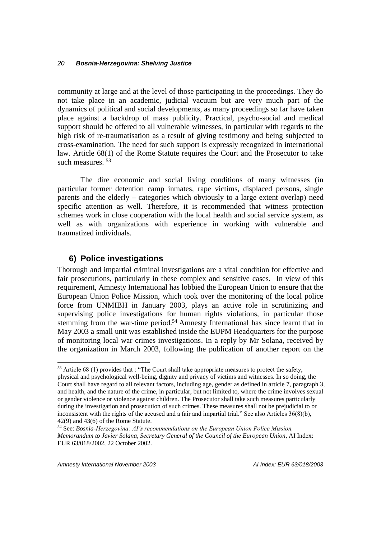community at large and at the level of those participating in the proceedings. They do not take place in an academic, judicial vacuum but are very much part of the dynamics of political and social developments, as many proceedings so far have taken place against a backdrop of mass publicity. Practical, psycho-social and medical support should be offered to all vulnerable witnesses, in particular with regards to the high risk of re-traumatisation as a result of giving testimony and being subjected to cross-examination. The need for such support is expressly recognized in international law. Article 68(1) of the Rome Statute requires the Court and the Prosecutor to take such measures. <sup>53</sup>

The dire economic and social living conditions of many witnesses (in particular former detention camp inmates, rape victims, displaced persons, single parents and the elderly – categories which obviously to a large extent overlap) need specific attention as well. Therefore, it is recommended that witness protection schemes work in close cooperation with the local health and social service system, as well as with organizations with experience in working with vulnerable and traumatized individuals.

### **6) Police investigations**

Thorough and impartial criminal investigations are a vital condition for effective and fair prosecutions, particularly in these complex and sensitive cases. In view of this requirement, Amnesty International has lobbied the European Union to ensure that the European Union Police Mission, which took over the monitoring of the local police force from UNMIBH in January 2003, plays an active role in scrutinizing and supervising police investigations for human rights violations, in particular those stemming from the war-time period.<sup>54</sup> Amnesty International has since learnt that in May 2003 a small unit was established inside the EUPM Headquarters for the purpose of monitoring local war crimes investigations. In a reply by Mr Solana, received by the organization in March 2003, following the publication of another report on the

 $53$  Article 68 (1) provides that : "The Court shall take appropriate measures to protect the safety, physical and psychological well-being, dignity and privacy of victims and witnesses. In so doing, the Court shall have regard to all relevant factors, including age, gender as defined in article 7, paragraph 3, and health, and the nature of the crime, in particular, but not limited to, where the crime involves sexual or gender violence or violence against children. The Prosecutor shall take such measures particularly during the investigation and prosecution of such crimes. These measures shall not be prejudicial to or inconsistent with the rights of the accused and a fair and impartial trial." See also Articles 36(8)(b), 42(9) and 43(6) of the Rome Statute.

<sup>54</sup> See: *Bosnia-Herzegovina: AI's recommendations on the European Union Police Mission, Memorandum to Javier Solana, Secretary General of the Council of the European Union*, AI Index: EUR 63/018/2002, 22 October 2002.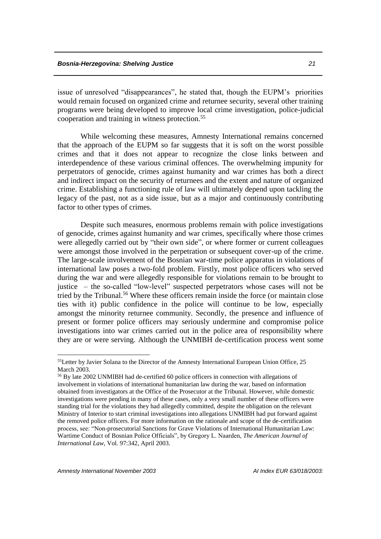issue of unresolved "disappearances", he stated that, though the EUPM's priorities would remain focused on organized crime and returnee security, several other training programs were being developed to improve local crime investigation, police-judicial cooperation and training in witness protection. 55

While welcoming these measures, Amnesty International remains concerned that the approach of the EUPM so far suggests that it is soft on the worst possible crimes and that it does not appear to recognize the close links between and interdependence of these various criminal offences. The overwhelming impunity for perpetrators of genocide, crimes against humanity and war crimes has both a direct and indirect impact on the security of returnees and the extent and nature of organized crime. Establishing a functioning rule of law will ultimately depend upon tackling the legacy of the past, not as a side issue, but as a major and continuously contributing factor to other types of crimes.

Despite such measures, enormous problems remain with police investigations of genocide, crimes against humanity and war crimes, specifically where those crimes were allegedly carried out by "their own side", or where former or current colleagues were amongst those involved in the perpetration or subsequent cover-up of the crime. The large-scale involvement of the Bosnian war-time police apparatus in violations of international law poses a two-fold problem. Firstly, most police officers who served during the war and were allegedly responsible for violations remain to be brought to justice – the so-called "low-level" suspected perpetrators whose cases will not be tried by the Tribunal.<sup>56</sup> Where these officers remain inside the force (or maintain close ties with it) public confidence in the police will continue to be low, especially amongst the minority returnee community. Secondly, the presence and influence of present or former police officers may seriously undermine and compromise police investigations into war crimes carried out in the police area of responsibility where they are or were serving. Although the UNMIBH de-certification process went some

<sup>&</sup>lt;sup>55</sup>Letter by Javier Solana to the Director of the Amnesty International European Union Office, 25 March 2003.

<sup>56</sup> By late 2002 UNMIBH had de-certified 60 police officers in connection with allegations of involvement in violations of international humanitarian law during the war, based on information obtained from investigators at the Office of the Prosecutor at the Tribunal. However, while domestic investigations were pending in many of these cases, only a very small number of these officers were standing trial for the violations they had allegedly committed, despite the obligation on the relevant Ministry of Interior to start criminal investigations into allegations UNMIBH had put forward against the removed police officers. For more information on the rationale and scope of the de-certification process, see: "Non-prosecutorial Sanctions for Grave Violations of International Humanitarian Law: Wartime Conduct of Bosnian Police Officials", by Gregory L. Naarden, *The American Journal of International Law*, Vol. 97:342, April 2003.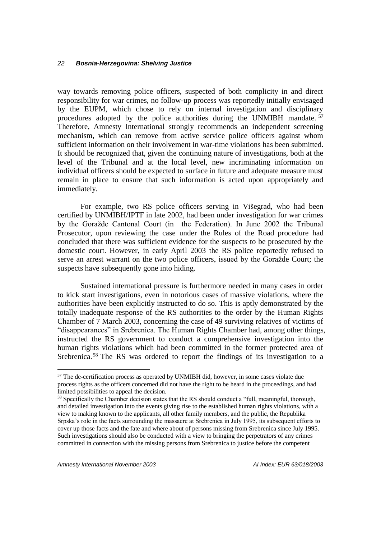way towards removing police officers, suspected of both complicity in and direct responsibility for war crimes, no follow-up process was reportedly initially envisaged by the EUPM, which chose to rely on internal investigation and disciplinary procedures adopted by the police authorities during the UNMIBH mandate.  $57$ Therefore, Amnesty International strongly recommends an independent screening mechanism, which can remove from active service police officers against whom sufficient information on their involvement in war-time violations has been submitted. It should be recognized that, given the continuing nature of investigations, both at the level of the Tribunal and at the local level, new incriminating information on individual officers should be expected to surface in future and adequate measure must remain in place to ensure that such information is acted upon appropriately and immediately.

For example, two RS police officers serving in Višegrad, who had been certified by UNMIBH/IPTF in late 2002, had been under investigation for war crimes by the Goražde Cantonal Court (in the Federation). In June 2002 the Tribunal Prosecutor, upon reviewing the case under the Rules of the Road procedure had concluded that there was sufficient evidence for the suspects to be prosecuted by the domestic court. However, in early April 2003 the RS police reportedly refused to serve an arrest warrant on the two police officers, issued by the Goražde Court; the suspects have subsequently gone into hiding.

Sustained international pressure is furthermore needed in many cases in order to kick start investigations, even in notorious cases of massive violations, where the authorities have been explicitly instructed to do so. This is aptly demonstrated by the totally inadequate response of the RS authorities to the order by the Human Rights Chamber of 7 March 2003, concerning the case of 49 surviving relatives of victims of "disappearances" in Srebrenica. The Human Rights Chamber had, among other things, instructed the RS government to conduct a comprehensive investigation into the human rights violations which had been committed in the former protected area of Srebrenica.<sup>58</sup> The RS was ordered to report the findings of its investigation to a

<sup>&</sup>lt;sup>57</sup> The de-certification process as operated by UNMIBH did, however, in some cases violate due process rights as the officers concerned did not have the right to be heard in the proceedings, and had limited possibilities to appeal the decision.

<sup>58</sup> Specifically the Chamber decision states that the RS should conduct a "full, meaningful, thorough, and detailed investigation into the events giving rise to the established human rights violations, with a view to making known to the applicants, all other family members, and the public, the Republika Srpska's role in the facts surrounding the massacre at Srebrenica in July 1995, its subsequent efforts to cover up those facts and the fate and where about of persons missing from Srebrenica since July 1995. Such investigations should also be conducted with a view to bringing the perpetrators of any crimes committed in connection with the missing persons from Srebrenica to justice before the competent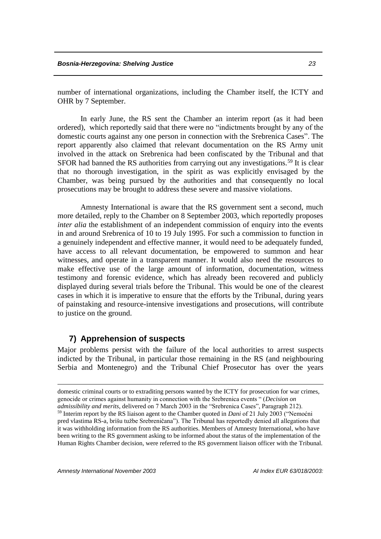number of international organizations, including the Chamber itself, the ICTY and OHR by 7 September.

In early June, the RS sent the Chamber an interim report (as it had been ordered), which reportedly said that there were no "indictments brought by any of the domestic courts against any one person in connection with the Srebrenica Cases". The report apparently also claimed that relevant documentation on the RS Army unit involved in the attack on Srebrenica had been confiscated by the Tribunal and that SFOR had banned the RS authorities from carrying out any investigations.<sup>59</sup> It is clear that no thorough investigation, in the spirit as was explicitly envisaged by the Chamber, was being pursued by the authorities and that consequently no local prosecutions may be brought to address these severe and massive violations.

Amnesty International is aware that the RS government sent a second, much more detailed, reply to the Chamber on 8 September 2003, which reportedly proposes *inter alia* the establishment of an independent commission of enquiry into the events in and around Srebrenica of 10 to 19 July 1995. For such a commission to function in a genuinely independent and effective manner, it would need to be adequately funded, have access to all relevant documentation, be empowered to summon and hear witnesses, and operate in a transparent manner. It would also need the resources to make effective use of the large amount of information, documentation, witness testimony and forensic evidence, which has already been recovered and publicly displayed during several trials before the Tribunal. This would be one of the clearest cases in which it is imperative to ensure that the efforts by the Tribunal, during years of painstaking and resource-intensive investigations and prosecutions, will contribute to justice on the ground.

#### **7) Apprehension of suspects**

Major problems persist with the failure of the local authorities to arrest suspects indicted by the Tribunal, in particular those remaining in the RS (and neighbouring Serbia and Montenegro) and the Tribunal Chief Prosecutor has over the years

<u>.</u>

domestic criminal courts or to extraditing persons wanted by the ICTY for prosecution for war crimes, genocide or crimes against humanity in connection with the Srebrenica events " (*Decision on admissibility and merits*, delivered on 7 March 2003 in the "Srebrenica Cases", Paragraph 212). <sup>59</sup> Interim report by the RS liaison agent to the Chamber quoted in *Dani* of 21 July 2003 ("Nemoćni pred vlastima RS-a, brišu tužbe Srebreničana"). The Tribunal has reportedly denied all allegations that it was withholding information from the RS authorities. Members of Amnesty International, who have been writing to the RS government asking to be informed about the status of the implementation of the Human Rights Chamber decision, were referred to the RS government liaison officer with the Tribunal.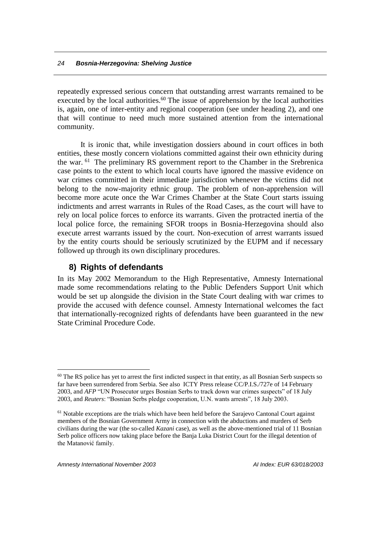repeatedly expressed serious concern that outstanding arrest warrants remained to be executed by the local authorities. $60$  The issue of apprehension by the local authorities is, again, one of inter-entity and regional cooperation (see under heading 2), and one that will continue to need much more sustained attention from the international community.

It is ironic that, while investigation dossiers abound in court offices in both entities, these mostly concern violations committed against their own ethnicity during the war. <sup>61</sup> The preliminary RS government report to the Chamber in the Srebrenica case points to the extent to which local courts have ignored the massive evidence on war crimes committed in their immediate jurisdiction whenever the victims did not belong to the now-majority ethnic group. The problem of non-apprehension will become more acute once the War Crimes Chamber at the State Court starts issuing indictments and arrest warrants in Rules of the Road Cases, as the court will have to rely on local police forces to enforce its warrants. Given the protracted inertia of the local police force, the remaining SFOR troops in Bosnia-Herzegovina should also execute arrest warrants issued by the court. Non-execution of arrest warrants issued by the entity courts should be seriously scrutinized by the EUPM and if necessary followed up through its own disciplinary procedures.

# **8) Rights of defendants**

In its May 2002 Memorandum to the High Representative, Amnesty International made some recommendations relating to the Public Defenders Support Unit which would be set up alongside the division in the State Court dealing with war crimes to provide the accused with defence counsel. Amnesty International welcomes the fact that internationally-recognized rights of defendants have been guaranteed in the new State Criminal Procedure Code.

<sup>&</sup>lt;sup>60</sup> The RS police has yet to arrest the first indicted suspect in that entity, as all Bosnian Serb suspects so far have been surrendered from Serbia. See also ICTY Press release CC/P.I.S./727e of 14 February 2003, and *AFP* "UN Prosecutor urges Bosnian Serbs to track down war crimes suspects" of 18 July 2003, and *Reuters*: "Bosnian Serbs pledge cooperation, U.N. wants arrests", 18 July 2003.

 $<sup>61</sup>$  Notable exceptions are the trials which have been held before the Sarajevo Cantonal Court against</sup> members of the Bosnian Government Army in connection with the abductions and murders of Serb civilians during the war (the so-called *Kazani* case), as well as the above-mentioned trial of 11 Bosnian Serb police officers now taking place before the Banja Luka District Court for the illegal detention of the Matanović family.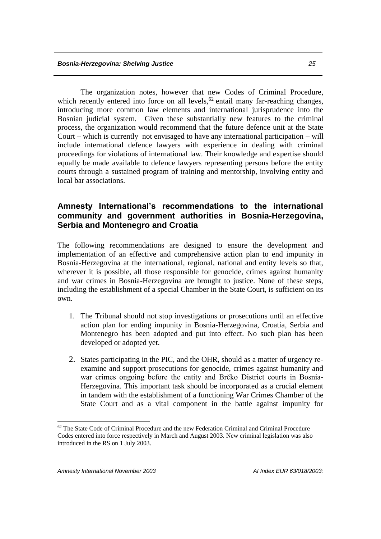The organization notes, however that new Codes of Criminal Procedure, which recently entered into force on all levels,  $62$  entail many far-reaching changes, introducing more common law elements and international jurisprudence into the Bosnian judicial system. Given these substantially new features to the criminal process, the organization would recommend that the future defence unit at the State Court – which is currently not envisaged to have any international participation – will include international defence lawyers with experience in dealing with criminal proceedings for violations of international law. Their knowledge and expertise should equally be made available to defence lawyers representing persons before the entity courts through a sustained program of training and mentorship, involving entity and local bar associations.

# **Amnesty International's recommendations to the international community and government authorities in Bosnia-Herzegovina, Serbia and Montenegro and Croatia**

The following recommendations are designed to ensure the development and implementation of an effective and comprehensive action plan to end impunity in Bosnia-Herzegovina at the international, regional, national and entity levels so that, wherever it is possible, all those responsible for genocide, crimes against humanity and war crimes in Bosnia-Herzegovina are brought to justice. None of these steps, including the establishment of a special Chamber in the State Court, is sufficient on its own.

- 1. The Tribunal should not stop investigations or prosecutions until an effective action plan for ending impunity in Bosnia-Herzegovina, Croatia, Serbia and Montenegro has been adopted and put into effect. No such plan has been developed or adopted yet.
- 2. States participating in the PIC, and the OHR, should as a matter of urgency reexamine and support prosecutions for genocide, crimes against humanity and war crimes ongoing before the entity and Brčko District courts in Bosnia-Herzegovina. This important task should be incorporated as a crucial element in tandem with the establishment of a functioning War Crimes Chamber of the State Court and as a vital component in the battle against impunity for

<sup>&</sup>lt;sup>62</sup> The State Code of Criminal Procedure and the new Federation Criminal and Criminal Procedure Codes entered into force respectively in March and August 2003. New criminal legislation was also introduced in the RS on 1 July 2003.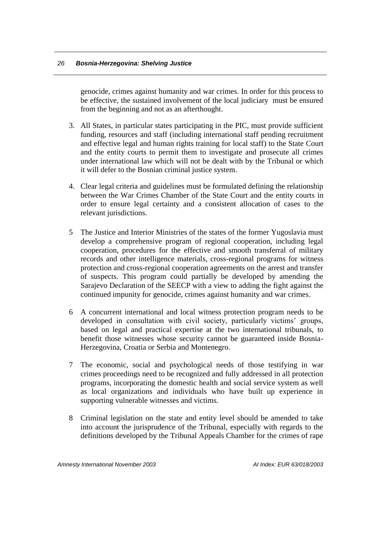genocide, crimes against humanity and war crimes. In order for this process to be effective, the sustained involvement of the local judiciary must be ensured from the beginning and not as an afterthought.

- 3. All States, in particular states participating in the PIC, must provide sufficient funding, resources and staff (including international staff pending recruitment and effective legal and human rights training for local staff) to the State Court and the entity courts to permit them to investigate and prosecute all crimes under international law which will not be dealt with by the Tribunal or which it will defer to the Bosnian criminal justice system.
- 4. Clear legal criteria and guidelines must be formulated defining the relationship between the War Crimes Chamber of the State Court and the entity courts in order to ensure legal certainty and a consistent allocation of cases to the relevant jurisdictions.
- 5 The Justice and Interior Ministries of the states of the former Yugoslavia must develop a comprehensive program of regional cooperation, including legal cooperation, procedures for the effective and smooth transferral of military records and other intelligence materials, cross-regional programs for witness protection and cross-regional cooperation agreements on the arrest and transfer of suspects. This program could partially be developed by amending the Sarajevo Declaration of the SEECP with a view to adding the fight against the continued impunity for genocide, crimes against humanity and war crimes.
- 6 A concurrent international and local witness protection program needs to be developed in consultation with civil society, particularly victims' groups, based on legal and practical expertise at the two international tribunals, to benefit those witnesses whose security cannot be guaranteed inside Bosnia-Herzegovina, Croatia or Serbia and Montenegro.
- 7 The economic, social and psychological needs of those testifying in war crimes proceedings need to be recognized and fully addressed in all protection programs, incorporating the domestic health and social service system as well as local organizations and individuals who have built up experience in supporting vulnerable witnesses and victims.
- 8 Criminal legislation on the state and entity level should be amended to take into account the jurisprudence of the Tribunal, especially with regards to the definitions developed by the Tribunal Appeals Chamber for the crimes of rape